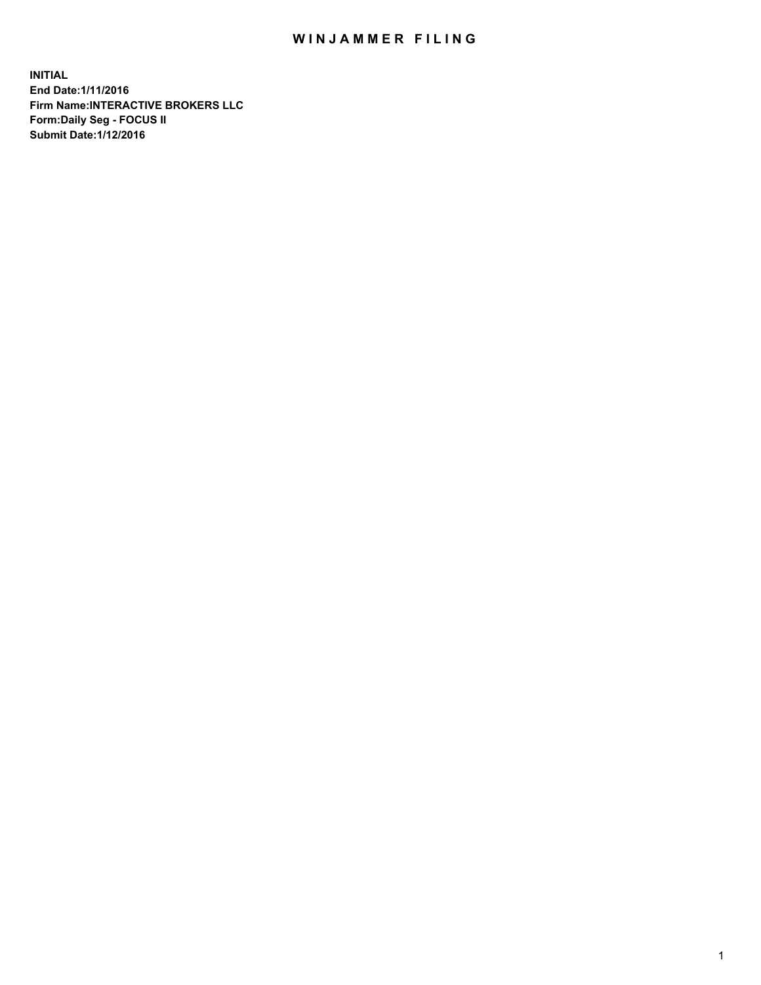## WIN JAMMER FILING

**INITIAL End Date:1/11/2016 Firm Name:INTERACTIVE BROKERS LLC Form:Daily Seg - FOCUS II Submit Date:1/12/2016**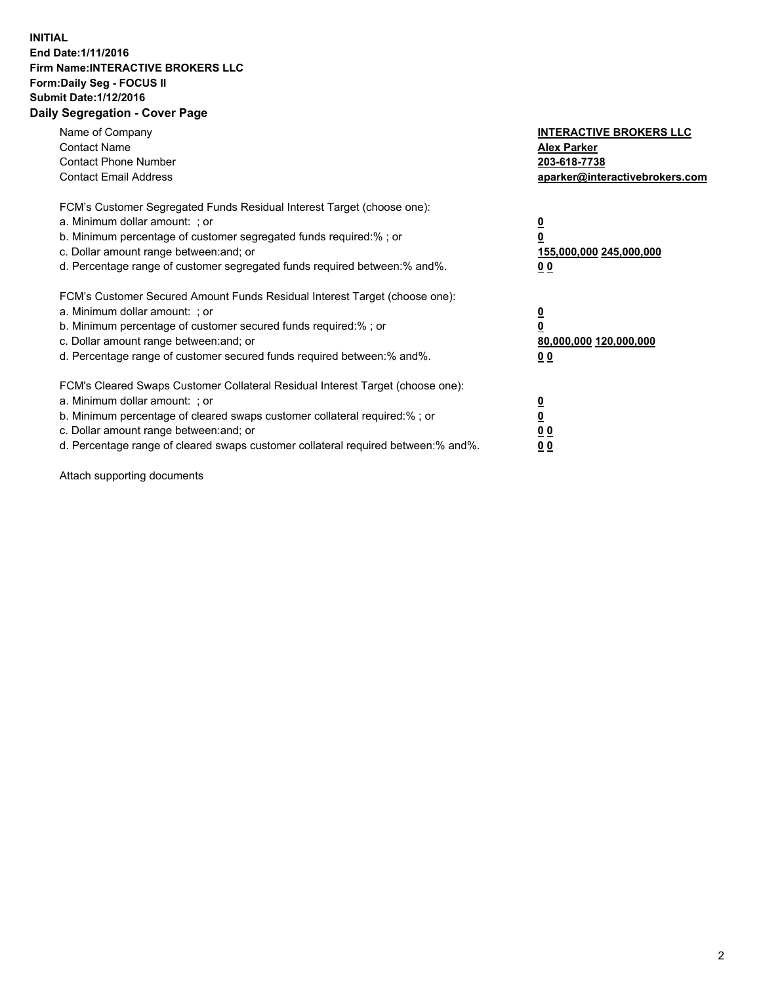## **INITIAL End Date:1/11/2016 Firm Name:INTERACTIVE BROKERS LLC Form:Daily Seg - FOCUS II Submit Date:1/12/2016 Daily Segregation - Cover Page**

| Name of Company<br><b>Contact Name</b><br><b>Contact Phone Number</b><br><b>Contact Email Address</b>                                                                                                                                                                                                                          | <b>INTERACTIVE BROKERS LLC</b><br><b>Alex Parker</b><br>203-618-7738<br>aparker@interactivebrokers.com |
|--------------------------------------------------------------------------------------------------------------------------------------------------------------------------------------------------------------------------------------------------------------------------------------------------------------------------------|--------------------------------------------------------------------------------------------------------|
| FCM's Customer Segregated Funds Residual Interest Target (choose one):<br>a. Minimum dollar amount: ; or<br>b. Minimum percentage of customer segregated funds required:% ; or<br>c. Dollar amount range between: and; or<br>d. Percentage range of customer segregated funds required between:% and%.                         | <u>0</u><br>155,000,000 245,000,000<br><u>00</u>                                                       |
| FCM's Customer Secured Amount Funds Residual Interest Target (choose one):<br>a. Minimum dollar amount: ; or<br>b. Minimum percentage of customer secured funds required:% ; or<br>c. Dollar amount range between: and; or<br>d. Percentage range of customer secured funds required between:% and%.                           | <u>0</u><br>80,000,000 120,000,000<br>0 <sub>0</sub>                                                   |
| FCM's Cleared Swaps Customer Collateral Residual Interest Target (choose one):<br>a. Minimum dollar amount: ; or<br>b. Minimum percentage of cleared swaps customer collateral required:% ; or<br>c. Dollar amount range between: and; or<br>d. Percentage range of cleared swaps customer collateral required between:% and%. | <u>0</u><br>0 <sub>0</sub><br>0 <sub>0</sub>                                                           |

Attach supporting documents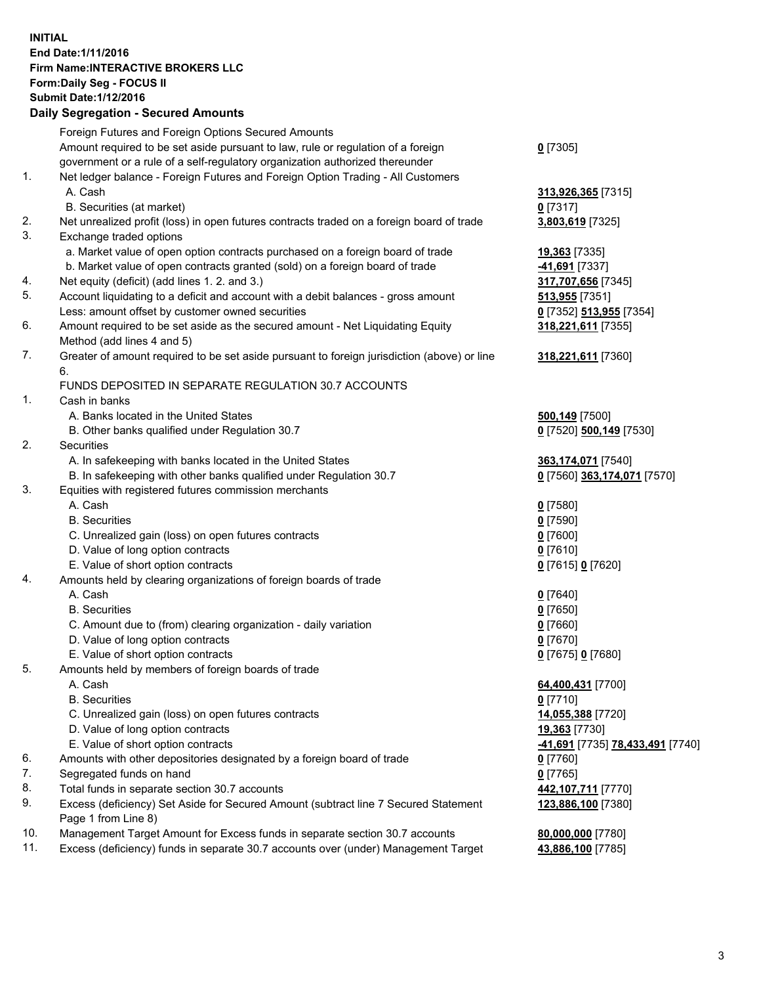## **INITIAL End Date:1/11/2016 Firm Name:INTERACTIVE BROKERS LLC Form:Daily Seg - FOCUS II Submit Date:1/12/2016 Daily Segregation - Secured Amounts**

|     | Dany Ocgregation - Oceared Anioants                                                         |                                  |
|-----|---------------------------------------------------------------------------------------------|----------------------------------|
|     | Foreign Futures and Foreign Options Secured Amounts                                         |                                  |
|     | Amount required to be set aside pursuant to law, rule or regulation of a foreign            | $0$ [7305]                       |
|     | government or a rule of a self-regulatory organization authorized thereunder                |                                  |
| 1.  | Net ledger balance - Foreign Futures and Foreign Option Trading - All Customers             |                                  |
|     | A. Cash                                                                                     | 313,926,365 [7315]               |
|     | B. Securities (at market)                                                                   | $0$ [7317]                       |
| 2.  | Net unrealized profit (loss) in open futures contracts traded on a foreign board of trade   | 3,803,619 [7325]                 |
| 3.  | Exchange traded options                                                                     |                                  |
|     | a. Market value of open option contracts purchased on a foreign board of trade              | 19,363 [7335]                    |
|     | b. Market value of open contracts granted (sold) on a foreign board of trade                | 41,691 [7337]                    |
| 4.  | Net equity (deficit) (add lines 1.2. and 3.)                                                | 317,707,656 [7345]               |
| 5.  |                                                                                             |                                  |
|     | Account liquidating to a deficit and account with a debit balances - gross amount           | 513,955 [7351]                   |
|     | Less: amount offset by customer owned securities                                            | 0 [7352] 513,955 [7354]          |
| 6.  | Amount required to be set aside as the secured amount - Net Liquidating Equity              | 318,221,611 [7355]               |
|     | Method (add lines 4 and 5)                                                                  |                                  |
| 7.  | Greater of amount required to be set aside pursuant to foreign jurisdiction (above) or line | 318,221,611 [7360]               |
|     | 6.                                                                                          |                                  |
|     | FUNDS DEPOSITED IN SEPARATE REGULATION 30.7 ACCOUNTS                                        |                                  |
| 1.  | Cash in banks                                                                               |                                  |
|     | A. Banks located in the United States                                                       | 500,149 [7500]                   |
|     | B. Other banks qualified under Regulation 30.7                                              | 0 [7520] 500,149 [7530]          |
| 2.  | Securities                                                                                  |                                  |
|     | A. In safekeeping with banks located in the United States                                   | 363,174,071 [7540]               |
|     | B. In safekeeping with other banks qualified under Regulation 30.7                          | 0 [7560] 363,174,071 [7570]      |
| 3.  | Equities with registered futures commission merchants                                       |                                  |
|     | A. Cash                                                                                     | $0$ [7580]                       |
|     | <b>B.</b> Securities                                                                        | $0$ [7590]                       |
|     | C. Unrealized gain (loss) on open futures contracts                                         | $0$ [7600]                       |
|     | D. Value of long option contracts                                                           | $0$ [7610]                       |
|     | E. Value of short option contracts                                                          | 0 [7615] 0 [7620]                |
| 4.  | Amounts held by clearing organizations of foreign boards of trade                           |                                  |
|     | A. Cash                                                                                     | $0$ [7640]                       |
|     | <b>B.</b> Securities                                                                        | $0$ [7650]                       |
|     | C. Amount due to (from) clearing organization - daily variation                             | $0$ [7660]                       |
|     | D. Value of long option contracts                                                           | $0$ [7670]                       |
|     | E. Value of short option contracts                                                          | 0 [7675] 0 [7680]                |
| 5.  |                                                                                             |                                  |
|     | Amounts held by members of foreign boards of trade<br>A. Cash                               |                                  |
|     |                                                                                             | 64,400,431 [7700]                |
|     | <b>B.</b> Securities                                                                        | $0$ [7710]                       |
|     | C. Unrealized gain (loss) on open futures contracts                                         | 14,055,388 [7720]                |
|     | D. Value of long option contracts                                                           | 19,363 [7730]                    |
|     | E. Value of short option contracts                                                          | -41,691 [7735] 78,433,491 [7740] |
| 6.  | Amounts with other depositories designated by a foreign board of trade                      | $0$ [7760]                       |
| 7.  | Segregated funds on hand                                                                    | $0$ [7765]                       |
| 8.  | Total funds in separate section 30.7 accounts                                               | 442,107,711 [7770]               |
| 9.  | Excess (deficiency) Set Aside for Secured Amount (subtract line 7 Secured Statement         | 123,886,100 [7380]               |
|     | Page 1 from Line 8)                                                                         |                                  |
| 10. | Management Target Amount for Excess funds in separate section 30.7 accounts                 | 80,000,000 [7780]                |
| 11. | Excess (deficiency) funds in separate 30.7 accounts over (under) Management Target          | 43,886,100 [7785]                |
|     |                                                                                             |                                  |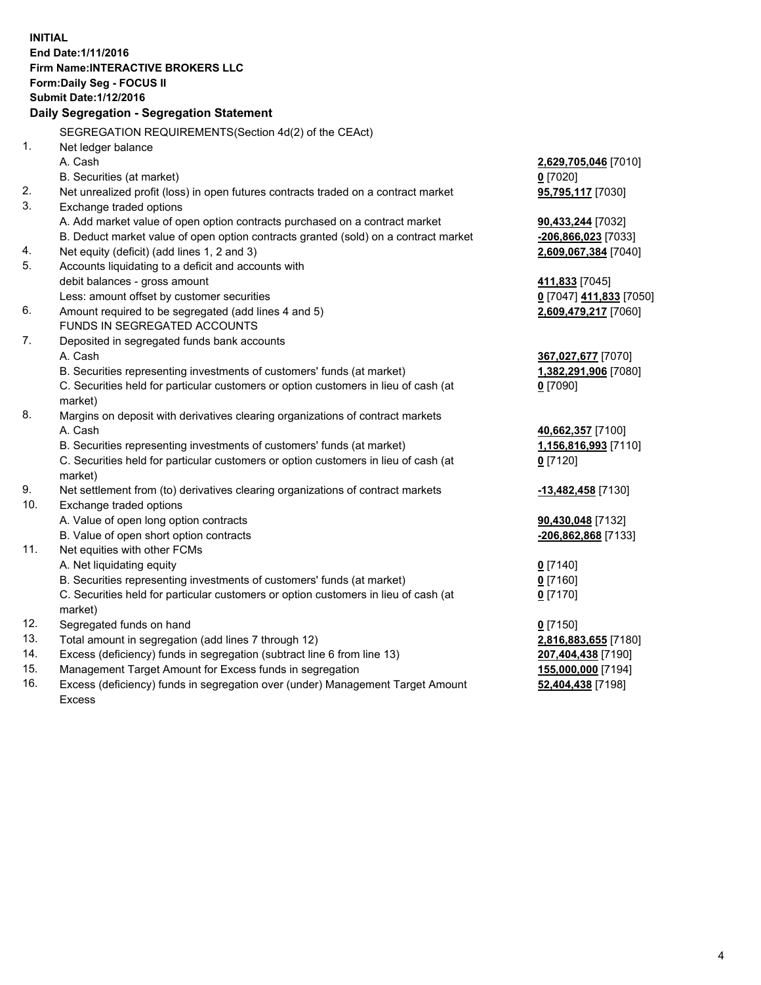**INITIAL End Date:1/11/2016 Firm Name:INTERACTIVE BROKERS LLC Form:Daily Seg - FOCUS II Submit Date:1/12/2016 Daily Segregation - Segregation Statement** SEGREGATION REQUIREMENTS(Section 4d(2) of the CEAct) 1. Net ledger balance A. Cash **2,629,705,046** [7010] B. Securities (at market) **0** [7020] 2. Net unrealized profit (loss) in open futures contracts traded on a contract market **95,795,117** [7030] 3. Exchange traded options A. Add market value of open option contracts purchased on a contract market **90,433,244** [7032] B. Deduct market value of open option contracts granted (sold) on a contract market **-206,866,023** [7033] 4. Net equity (deficit) (add lines 1, 2 and 3) **2,609,067,384** [7040] 5. Accounts liquidating to a deficit and accounts with debit balances - gross amount **411,833** [7045] Less: amount offset by customer securities **0** [7047] **411,833** [7050] 6. Amount required to be segregated (add lines 4 and 5) **2,609,479,217** [7060] FUNDS IN SEGREGATED ACCOUNTS 7. Deposited in segregated funds bank accounts A. Cash **367,027,677** [7070] B. Securities representing investments of customers' funds (at market) **1,382,291,906** [7080] C. Securities held for particular customers or option customers in lieu of cash (at market) **0** [7090] 8. Margins on deposit with derivatives clearing organizations of contract markets A. Cash **40,662,357** [7100] B. Securities representing investments of customers' funds (at market) **1,156,816,993** [7110] C. Securities held for particular customers or option customers in lieu of cash (at market) **0** [7120] 9. Net settlement from (to) derivatives clearing organizations of contract markets **-13,482,458** [7130] 10. Exchange traded options A. Value of open long option contracts **90,430,048** [7132] B. Value of open short option contracts **-206,862,868** [7133] 11. Net equities with other FCMs A. Net liquidating equity **0** [7140] B. Securities representing investments of customers' funds (at market) **0** [7160] C. Securities held for particular customers or option customers in lieu of cash (at market) **0** [7170] 12. Segregated funds on hand **0** [7150] 13. Total amount in segregation (add lines 7 through 12) **2,816,883,655** [7180] 14. Excess (deficiency) funds in segregation (subtract line 6 from line 13) **207,404,438** [7190] 15. Management Target Amount for Excess funds in segregation **155,000,000** [7194]

16. Excess (deficiency) funds in segregation over (under) Management Target Amount Excess

**52,404,438** [7198]